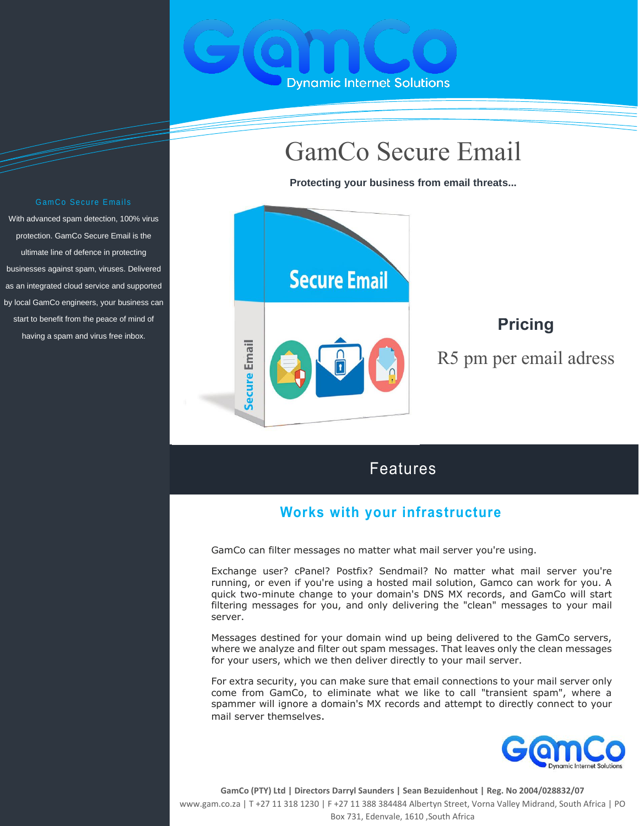

# GamCo Secure Email

**Protecting your business from email threats...**



# Features

## **Works with your infrastructure**

GamCo can filter messages no matter what mail server you're using.

Exchange user? cPanel? Postfix? Sendmail? No matter what mail server you're running, or even if you're using a hosted mail solution, Gamco can work for you. A quick two-minute change to your domain's DNS MX records, and GamCo will start filtering messages for you, and only delivering the "clean" messages to your mail server.

Messages destined for your domain wind up being delivered to the GamCo servers, where we analyze and filter out spam messages. That leaves only the clean messages for your users, which we then deliver directly to your mail server.

For extra security, you can make sure that email connections to your mail server only come from GamCo, to eliminate what we like to call "transient spam", where a spammer will ignore a domain's MX records and attempt to directly connect to your mail server themselves.



**GamCo (PTY) Ltd | Directors Darryl Saunders | Sean Bezuidenhout | Reg. No 2004/028832/07** www.gam.co.za | T +27 11 318 1230 | F +27 11 388 384484 Albertyn Street, Vorna Valley Midrand, South Africa | PO Box 731, Edenvale, 1610 ,South Africa

#### Gam Co Secure Emails

With advanced spam detection, 100% virus protection. GamCo Secure Email is the ultimate line of defence in protecting businesses against spam, viruses. Delivered as an integrated cloud service and supported by local GamCo engineers, your business can start to benefit from the peace of mind of having a spam and virus free inbox.